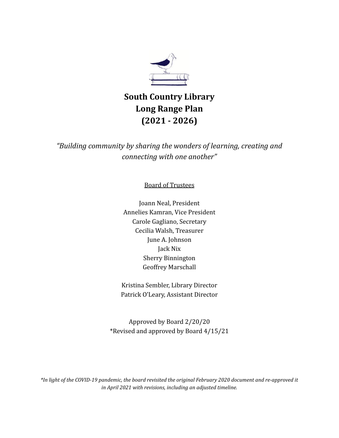

# **South Country Library Long Range Plan (2021 - 2026)**

*"Building community by sharing the wonders of learning, creating and connecting with one another"*

Board of Trustees

Joann Neal, President Annelies Kamran, Vice President Carole Gagliano, Secretary Cecilia Walsh, Treasurer June A. Johnson Jack Nix Sherry Binnington Geoffrey Marschall

Kristina Sembler, Library Director Patrick O'Leary, Assistant Director

Approved by Board 2/20/20 \*Revised and approved by Board 4/15/21

\*In light of the COVID-19 pandemic, the board revisited the original February 2020 document and re-approved it *in April 2021 with revisions, including an adjusted timeline.*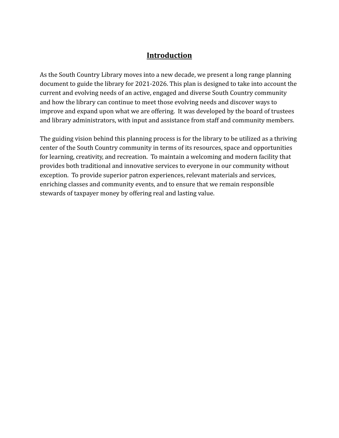# **Introduction**

As the South Country Library moves into a new decade, we present a long range planning document to guide the library for 2021-2026. This plan is designed to take into account the current and evolving needs of an active, engaged and diverse South Country community and how the library can continue to meet those evolving needs and discover ways to improve and expand upon what we are offering. It was developed by the board of trustees and library administrators, with input and assistance from staff and community members.

The guiding vision behind this planning process is for the library to be utilized as a thriving center of the South Country community in terms of its resources, space and opportunities for learning, creativity, and recreation. To maintain a welcoming and modern facility that provides both traditional and innovative services to everyone in our community without exception. To provide superior patron experiences, relevant materials and services, enriching classes and community events, and to ensure that we remain responsible stewards of taxpayer money by offering real and lasting value.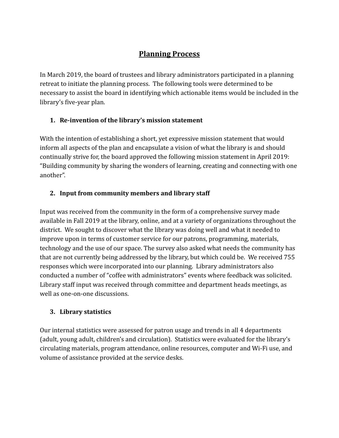# **Planning Process**

In March 2019, the board of trustees and library administrators participated in a planning retreat to initiate the planning process. The following tools were determined to be necessary to assist the board in identifying which actionable items would be included in the library's five-year plan.

# **1. Re-invention of the library's mission statement**

With the intention of establishing a short, yet expressive mission statement that would inform all aspects of the plan and encapsulate a vision of what the library is and should continually strive for, the board approved the following mission statement in April 2019: "Building community by sharing the wonders of learning, creating and connecting with one another".

# **2. Input from community members and library staff**

Input was received from the community in the form of a comprehensive survey made available in Fall 2019 at the library, online, and at a variety of organizations throughout the district. We sought to discover what the library was doing well and what it needed to improve upon in terms of customer service for our patrons, programming, materials, technology and the use of our space. The survey also asked what needs the community has that are not currently being addressed by the library, but which could be. We received 755 responses which were incorporated into our planning. Library administrators also conducted a number of "coffee with administrators" events where feedback was solicited. Library staff input was received through committee and department heads meetings, as well as one-on-one discussions.

# **3. Library statistics**

Our internal statistics were assessed for patron usage and trends in all 4 departments (adult, young adult, children's and circulation). Statistics were evaluated for the library's circulating materials, program attendance, online resources, computer and Wi-Fi use, and volume of assistance provided at the service desks.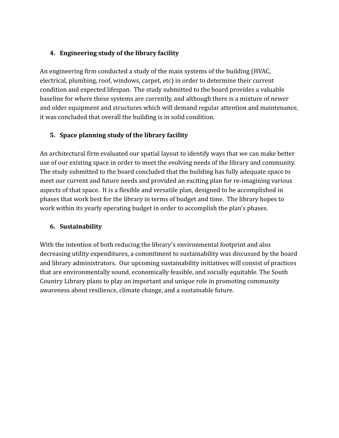#### **4. Engineering study of the library facility**

An engineering firm conducted a study of the main systems of the building (HVAC, electrical, plumbing, roof, windows, carpet, etc) in order to determine their current condition and expected lifespan. The study submitted to the board provides a valuable baseline for where these systems are currently, and although there is a mixture of newer and older equipment and structures which will demand regular attention and maintenance, it was concluded that overall the building is in solid condition.

# **5. Space planning study of the library facility**

An architectural firm evaluated our spatial layout to identify ways that we can make better use of our existing space in order to meet the evolving needs of the library and community. The study submitted to the board concluded that the building has fully adequate space to meet our current and future needs and provided an exciting plan for re-imagining various aspects of that space. It is a flexible and versatile plan, designed to be accomplished in phases that work best for the library in terms of budget and time. The library hopes to work within its yearly operating budget in order to accomplish the plan's phases.

#### **6. Sustainability**

With the intention of both reducing the library's environmental footprint and also decreasing utility expenditures, a commitment to sustainability was discussed by the board and library administrators. Our upcoming sustainability initiatives will consist of practices that are environmentally sound, economically feasible, and socially equitable. The South Country Library plans to play an important and unique role in promoting community awareness about resilience, climate change, and a sustainable future.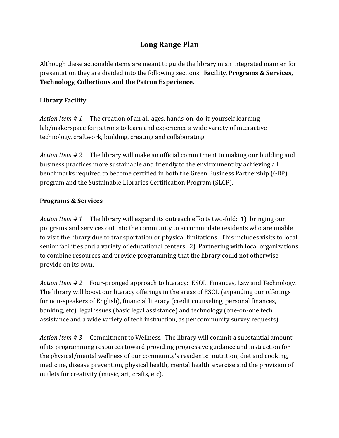# **Long Range Plan**

Although these actionable items are meant to guide the library in an integrated manner, for presentation they are divided into the following sections: **Facility, Programs & Services, Technology, Collections and the Patron Experience.**

#### **Library Facility**

*Action Item # 1* The creation of an all-ages, hands-on, do-it-yourself learning lab/makerspace for patrons to learn and experience a wide variety of interactive technology, craftwork, building, creating and collaborating.

*Action Item # 2* The library will make an official commitment to making our building and business practices more sustainable and friendly to the environment by achieving all benchmarks required to become certified in both the Green Business Partnership (GBP) program and the Sustainable Libraries Certification Program (SLCP).

#### **Programs & Services**

*Action Item # 1* The library will expand its outreach efforts two-fold: 1) bringing our programs and services out into the community to accommodate residents who are unable to visit the library due to transportation or physical limitations. This includes visits to local senior facilities and a variety of educational centers. 2) Partnering with local organizations to combine resources and provide programming that the library could not otherwise provide on its own.

*Action Item # 2* Four-pronged approach to literacy: ESOL, Finances, Law and Technology. The library will boost our literacy offerings in the areas of ESOL (expanding our offerings for non-speakers of English), financial literacy (credit counseling, personal finances, banking, etc), legal issues (basic legal assistance) and technology (one-on-one tech assistance and a wide variety of tech instruction, as per community survey requests).

*Action Item # 3* Commitment to Wellness*.* The library will commit a substantial amount of its programming resources toward providing progressive guidance and instruction for the physical/mental wellness of our community's residents: nutrition, diet and cooking, medicine, disease prevention, physical health, mental health, exercise and the provision of outlets for creativity (music, art, crafts, etc).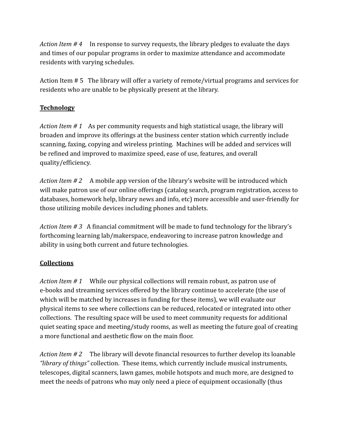*Action Item # 4* In response to survey requests, the library pledges to evaluate the days and times of our popular programs in order to maximize attendance and accommodate residents with varying schedules.

Action Item # 5 The library will offer a variety of remote/virtual programs and services for residents who are unable to be physically present at the library.

#### **Technology**

*Action Item # 1* As per community requests and high statistical usage, the library will broaden and improve its offerings at the business center station which currently include scanning, faxing, copying and wireless printing. Machines will be added and services will be refined and improved to maximize speed, ease of use, features, and overall quality/efficiency.

*Action Item # 2* A mobile app version of the library's website will be introduced which will make patron use of our online offerings (catalog search, program registration, access to databases, homework help, library news and info, etc) more accessible and user-friendly for those utilizing mobile devices including phones and tablets.

*Action Item # 3* A financial commitment will be made to fund technology for the library's forthcoming learning lab/makerspace, endeavoring to increase patron knowledge and ability in using both current and future technologies.

#### **Collections**

*Action Item # 1* While our physical collections will remain robust, as patron use of e-books and streaming services offered by the library continue to accelerate (the use of which will be matched by increases in funding for these items), we will evaluate our physical items to see where collections can be reduced, relocated or integrated into other collections. The resulting space will be used to meet community requests for additional quiet seating space and meeting/study rooms, as well as meeting the future goal of creating a more functional and aesthetic flow on the main floor.

*Action Item # 2* The library will devote financial resources to further develop its loanable *"library of things"* collection. These items, which currently include musical instruments, telescopes, digital scanners, lawn games, mobile hotspots and much more, are designed to meet the needs of patrons who may only need a piece of equipment occasionally (thus